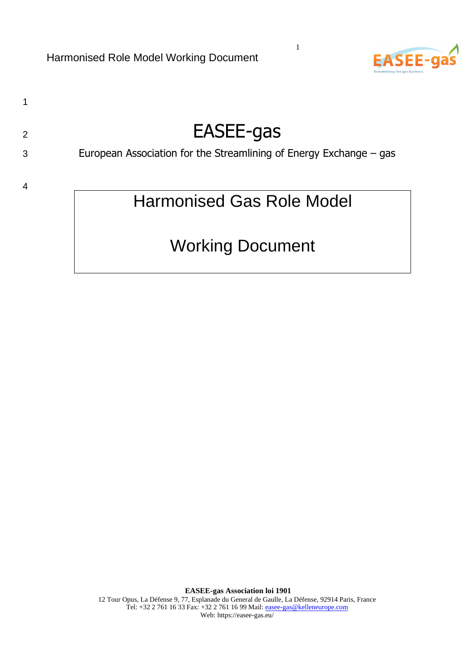

1

# 2 EASEE-gas

1

# 3 European Association for the Streamlining of Energy Exchange – gas

4

# Harmonised Gas Role Model

# Working Document

**EASEE-gas Association loi 1901**  12 Tour Opus, La Défense 9, 77, Esplanade du General de Gaulle, La Défense, 92914 Paris, France Tel: +32 2 761 16 33 Fax: +32 2 761 16 99 Mail: easee-gas@kelleneurope.com Web: https://easee-gas.eu/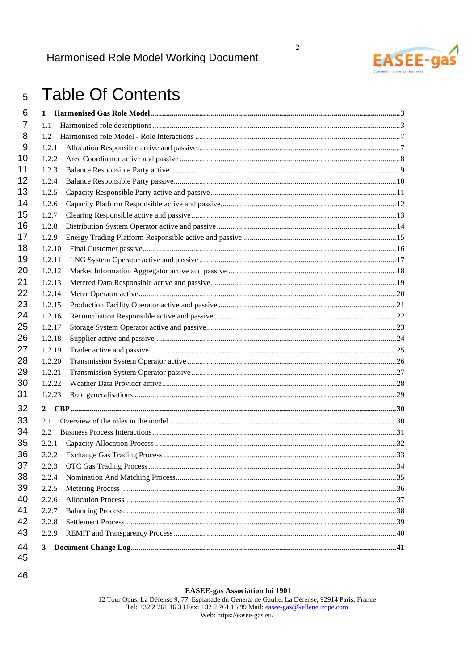

 $\overline{2}$ 

### **Table Of Contents**  $5\overline{)}$

| 6        | 1      |  |
|----------|--------|--|
| 7        | 1.1    |  |
| 8        | 1.2    |  |
| 9        | 1.2.1  |  |
| 10       | 1.2.2  |  |
| 11       | 1.2.3  |  |
| 12       | 1.2.4  |  |
| 13       | 1.2.5  |  |
| 14       | 1.2.6  |  |
| 15       | 1.2.7  |  |
| 16       | 1.2.8  |  |
| 17       | 1.2.9  |  |
| 18       | 1.2.10 |  |
| 19       | 1.2.11 |  |
| 20       | 1.2.12 |  |
| 21       | 1.2.13 |  |
| 22       | 1.2.14 |  |
| 23       | 1.2.15 |  |
| 24       | 1.2.16 |  |
| 25       | 1.2.17 |  |
| 26       | 1.2.18 |  |
| 27       | 1.2.19 |  |
| 28       | 1.2.20 |  |
| 29       | 1.2.21 |  |
| 30       | 1.2.22 |  |
| 31       | 1.2.23 |  |
| 32       |        |  |
| 33       | 2.1    |  |
| 34       | 2.2    |  |
| 35       | 2.2.1  |  |
| 36       | 2.2.2  |  |
| 37       | 2.2.3  |  |
| 38       | 2.2.4  |  |
| 39       | 2.2.5  |  |
| 40       | 2.2.6  |  |
| 41       | 2.2.7  |  |
| 42       | 2.2.8  |  |
| 43       | 2.2.9  |  |
| 44<br>45 |        |  |

46

**EASEE-gas Association loi 1901**<br>12 Tour Opus, La Défense 9, 77, Esplanade du General de Gaulle, La Défense, 92914 Paris, France<br>12 Tel: +32 2 761 16 33 Fax: +32 2 761 16 99 Mail:  $\frac{ease - gas@kelleneurope.com}{ebs: https://ease-gas.eu/}$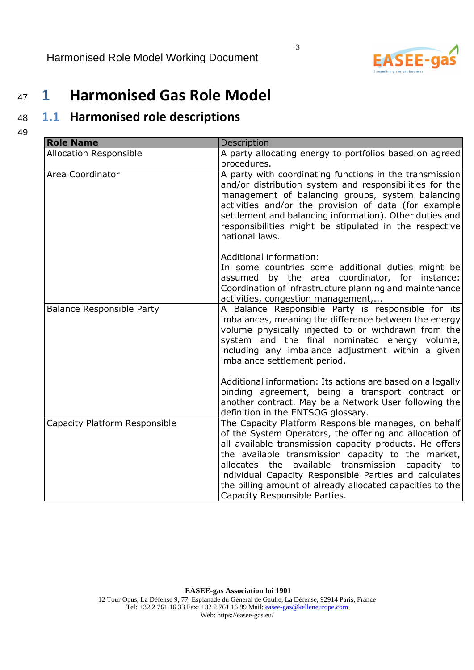

# <sup>47</sup>**1 Harmonised Gas Role Model**

# <sup>48</sup>**1.1 Harmonised role descriptions**

49

| <b>Role Name</b>                 | Description                                                                                                                                                                                                                                                                                                                                                                                                                                  |
|----------------------------------|----------------------------------------------------------------------------------------------------------------------------------------------------------------------------------------------------------------------------------------------------------------------------------------------------------------------------------------------------------------------------------------------------------------------------------------------|
| <b>Allocation Responsible</b>    | A party allocating energy to portfolios based on agreed<br>procedures.                                                                                                                                                                                                                                                                                                                                                                       |
| Area Coordinator                 | A party with coordinating functions in the transmission<br>and/or distribution system and responsibilities for the<br>management of balancing groups, system balancing<br>activities and/or the provision of data (for example<br>settlement and balancing information). Other duties and<br>responsibilities might be stipulated in the respective<br>national laws.                                                                        |
|                                  | Additional information:<br>In some countries some additional duties might be<br>assumed by the area coordinator, for instance:<br>Coordination of infrastructure planning and maintenance<br>activities, congestion management,                                                                                                                                                                                                              |
| <b>Balance Responsible Party</b> | A Balance Responsible Party is responsible for its<br>imbalances, meaning the difference between the energy<br>volume physically injected to or withdrawn from the<br>system and the final nominated energy volume,<br>including any imbalance adjustment within a given<br>imbalance settlement period.                                                                                                                                     |
|                                  | Additional information: Its actions are based on a legally<br>binding agreement, being a transport contract or<br>another contract. May be a Network User following the<br>definition in the ENTSOG glossary.                                                                                                                                                                                                                                |
| Capacity Platform Responsible    | The Capacity Platform Responsible manages, on behalf<br>of the System Operators, the offering and allocation of<br>all available transmission capacity products. He offers<br>the available transmission capacity to the market,<br>allocates the available transmission capacity to<br>individual Capacity Responsible Parties and calculates<br>the billing amount of already allocated capacities to the<br>Capacity Responsible Parties. |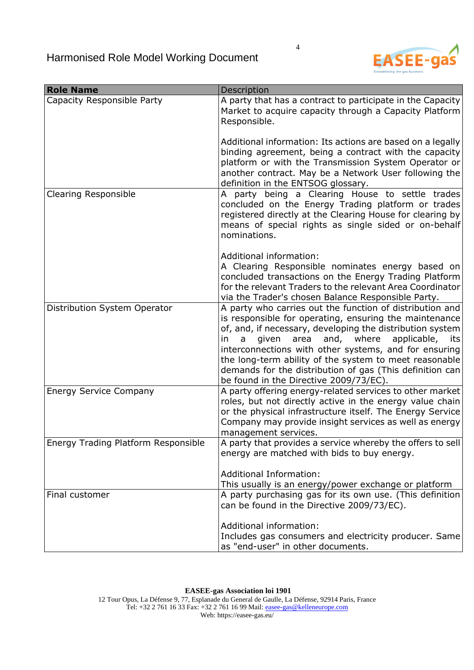

| <b>Role Name</b>                    | Description                                                                                                                                                                                                                                                                                                                                                                                                                                                        |
|-------------------------------------|--------------------------------------------------------------------------------------------------------------------------------------------------------------------------------------------------------------------------------------------------------------------------------------------------------------------------------------------------------------------------------------------------------------------------------------------------------------------|
| Capacity Responsible Party          | A party that has a contract to participate in the Capacity<br>Market to acquire capacity through a Capacity Platform<br>Responsible.                                                                                                                                                                                                                                                                                                                               |
|                                     | Additional information: Its actions are based on a legally<br>binding agreement, being a contract with the capacity<br>platform or with the Transmission System Operator or<br>another contract. May be a Network User following the<br>definition in the ENTSOG glossary.                                                                                                                                                                                         |
| <b>Clearing Responsible</b>         | A party being a Clearing House to settle trades<br>concluded on the Energy Trading platform or trades<br>registered directly at the Clearing House for clearing by<br>means of special rights as single sided or on-behalf<br>nominations.                                                                                                                                                                                                                         |
|                                     | Additional information:<br>A Clearing Responsible nominates energy based on<br>concluded transactions on the Energy Trading Platform<br>for the relevant Traders to the relevant Area Coordinator<br>via the Trader's chosen Balance Responsible Party.                                                                                                                                                                                                            |
| Distribution System Operator        | A party who carries out the function of distribution and<br>is responsible for operating, ensuring the maintenance<br>of, and, if necessary, developing the distribution system<br>and, where<br>given area<br>applicable, its<br>in<br>a<br>interconnections with other systems, and for ensuring<br>the long-term ability of the system to meet reasonable<br>demands for the distribution of gas (This definition can<br>be found in the Directive 2009/73/EC). |
| <b>Energy Service Company</b>       | A party offering energy-related services to other market<br>roles, but not directly active in the energy value chain<br>or the physical infrastructure itself. The Energy Service<br>Company may provide insight services as well as energy<br>management services.                                                                                                                                                                                                |
| Energy Trading Platform Responsible | A party that provides a service whereby the offers to sell<br>energy are matched with bids to buy energy.                                                                                                                                                                                                                                                                                                                                                          |
|                                     | <b>Additional Information:</b><br>This usually is an energy/power exchange or platform                                                                                                                                                                                                                                                                                                                                                                             |
| Final customer                      | A party purchasing gas for its own use. (This definition<br>can be found in the Directive 2009/73/EC).                                                                                                                                                                                                                                                                                                                                                             |
|                                     | Additional information:                                                                                                                                                                                                                                                                                                                                                                                                                                            |
|                                     | Includes gas consumers and electricity producer. Same<br>as "end-user" in other documents.                                                                                                                                                                                                                                                                                                                                                                         |

4

**EASEE-gas Association loi 1901**  12 Tour Opus, La Défense 9, 77, Esplanade du General de Gaulle, La Défense, 92914 Paris, France Tel: +32 2 761 16 33 Fax: +32 2 761 16 99 Mail: easee-gas@kelleneurope.com Web: https://easee-gas.eu/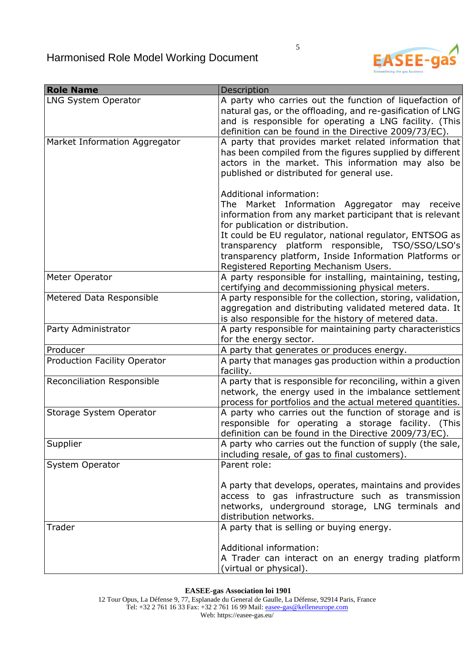

| <b>Role Name</b>                  | Description                                                                                                                                                                                                                              |
|-----------------------------------|------------------------------------------------------------------------------------------------------------------------------------------------------------------------------------------------------------------------------------------|
| <b>LNG System Operator</b>        | A party who carries out the function of liquefaction of<br>natural gas, or the offloading, and re-gasification of LNG<br>and is responsible for operating a LNG facility. (This<br>definition can be found in the Directive 2009/73/EC). |
| Market Information Aggregator     | A party that provides market related information that<br>has been compiled from the figures supplied by different<br>actors in the market. This information may also be<br>published or distributed for general use.                     |
|                                   | Additional information:<br>The Market Information Aggregator may receive<br>information from any market participant that is relevant<br>for publication or distribution.                                                                 |
|                                   | It could be EU regulator, national regulator, ENTSOG as<br>transparency platform responsible, TSO/SSO/LSO's<br>transparency platform, Inside Information Platforms or<br>Registered Reporting Mechanism Users.                           |
| Meter Operator                    | A party responsible for installing, maintaining, testing,                                                                                                                                                                                |
| Metered Data Responsible          | certifying and decommissioning physical meters.<br>A party responsible for the collection, storing, validation,<br>aggregation and distributing validated metered data. It<br>is also responsible for the history of metered data.       |
| Party Administrator               | A party responsible for maintaining party characteristics<br>for the energy sector.                                                                                                                                                      |
| Producer                          | A party that generates or produces energy.                                                                                                                                                                                               |
| Production Facility Operator      | A party that manages gas production within a production<br>facility.                                                                                                                                                                     |
| <b>Reconciliation Responsible</b> | A party that is responsible for reconciling, within a given<br>network, the energy used in the imbalance settlement<br>process for portfolios and the actual metered quantities.                                                         |
| Storage System Operator           | A party who carries out the function of storage and is<br>responsible for operating a storage facility. (This<br>definition can be found in the Directive 2009/73/EC).                                                                   |
| Supplier                          | A party who carries out the function of supply (the sale,<br>including resale, of gas to final customers).                                                                                                                               |
| System Operator                   | Parent role:                                                                                                                                                                                                                             |
|                                   | A party that develops, operates, maintains and provides<br>access to gas infrastructure such as transmission<br>networks, underground storage, LNG terminals and<br>distribution networks.                                               |
| Trader                            | A party that is selling or buying energy.                                                                                                                                                                                                |
|                                   | Additional information:<br>A Trader can interact on an energy trading platform<br>(virtual or physical).                                                                                                                                 |

**EASEE-gas Association loi 1901** 

12 Tour Opus, La Défense 9, 77, Esplanade du General de Gaulle, La Défense, 92914 Paris, France Tel: +32 2 761 16 33 Fax: +32 2 761 16 99 Mail: easee-gas@kelleneurope.com Web: https://easee-gas.eu/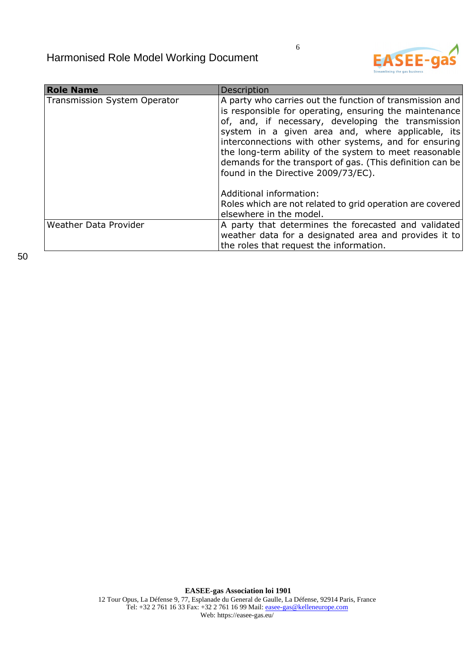| <b>Role Name</b>                    | Description                                                                                                                                                                                                                                                                                                                                                                                                                                          |
|-------------------------------------|------------------------------------------------------------------------------------------------------------------------------------------------------------------------------------------------------------------------------------------------------------------------------------------------------------------------------------------------------------------------------------------------------------------------------------------------------|
| <b>Transmission System Operator</b> | A party who carries out the function of transmission and<br>is responsible for operating, ensuring the maintenance<br>of, and, if necessary, developing the transmission<br>system in a given area and, where applicable, its<br>interconnections with other systems, and for ensuring<br>the long-term ability of the system to meet reasonable<br>demands for the transport of gas. (This definition can be<br>found in the Directive 2009/73/EC). |
|                                     | Additional information:<br>Roles which are not related to grid operation are covered<br>elsewhere in the model.                                                                                                                                                                                                                                                                                                                                      |
| Weather Data Provider               | A party that determines the forecasted and validated<br>weather data for a designated area and provides it to<br>the roles that request the information.                                                                                                                                                                                                                                                                                             |

**EASEE-gas Association loi 1901**  12 Tour Opus, La Défense 9, 77, Esplanade du General de Gaulle, La Défense, 92914 Paris, France Tel: +32 2 761 16 33 Fax: +32 2 761 16 99 Mail: easee-gas@kelleneurope.com Web: https://easee-gas.eu/

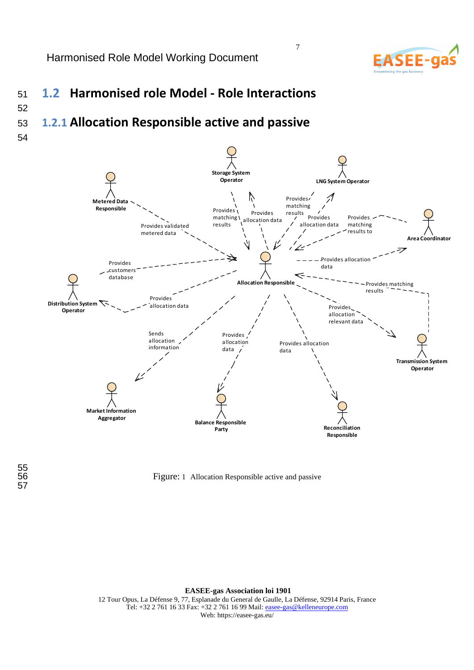

# <sup>51</sup>**1.2 Harmonised role Model - Role Interactions**

# <sup>53</sup>**1.2.1 Allocation Responsible active and passive**

54

52



Figure: 1 Allocation Responsible active and passive

**EASEE-gas Association loi 1901**  12 Tour Opus, La Défense 9, 77, Esplanade du General de Gaulle, La Défense, 92914 Paris, France Tel: +32 2 761 16 33 Fax: +32 2 761 16 99 Mail: easee-gas@kelleneurope.com Web: https://easee-gas.eu/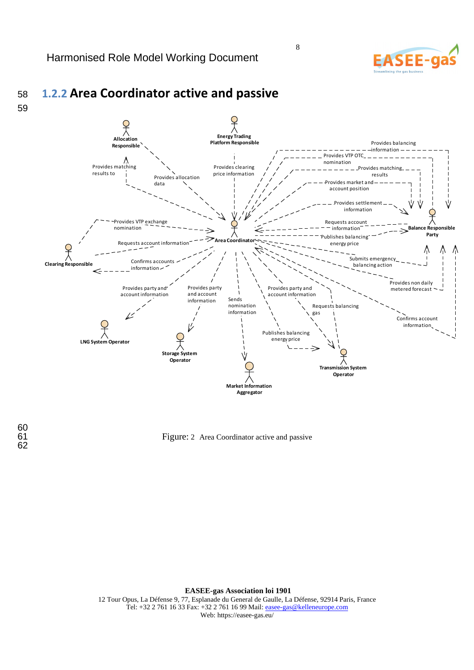

Figure: 2 Area Coordinator active and passive

**EASEE-gas Association loi 1901**  12 Tour Opus, La Défense 9, 77, Esplanade du General de Gaulle, La Défense, 92914 Paris, France Tel: +32 2 761 16 33 Fax: +32 2 761 16 99 Mail: easee-gas@kelleneurope.com Web: https://easee-gas.eu/

8

**ASEE-**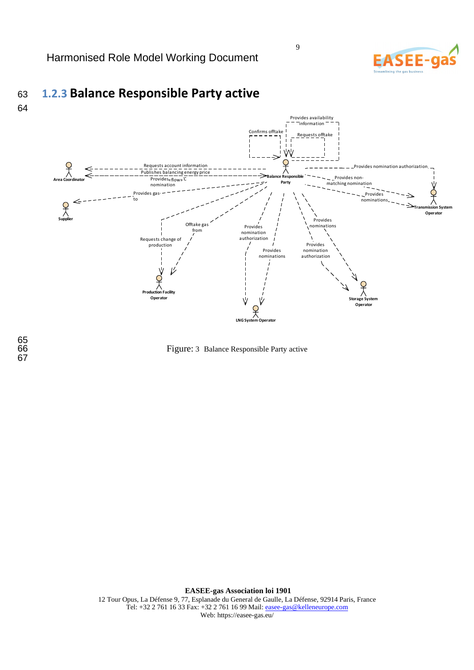

# <sup>63</sup>**1.2.3 Balance Responsible Party active**





Figure: 3 Balance Responsible Party active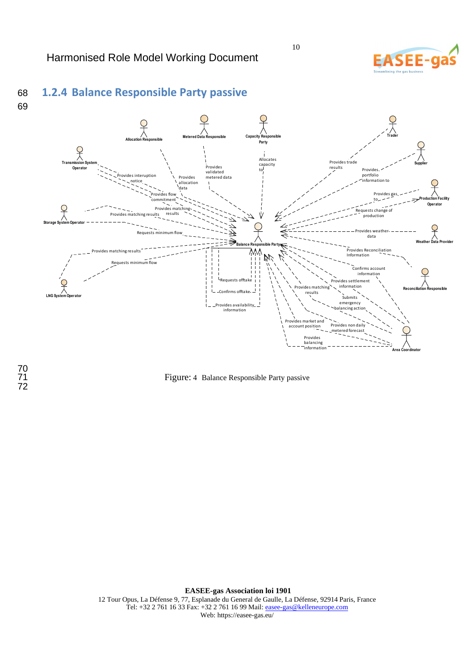

# 68 **1.2.4 Balance Responsible Party passive**





10

Figure: 4 Balance Responsible Party passive

**EASEE-gas Association loi 1901**  12 Tour Opus, La Défense 9, 77, Esplanade du General de Gaulle, La Défense, 92914 Paris, France Tel: +32 2 761 16 33 Fax: +32 2 761 16 99 Mail: easee-gas@kelleneurope.com Web: https://easee-gas.eu/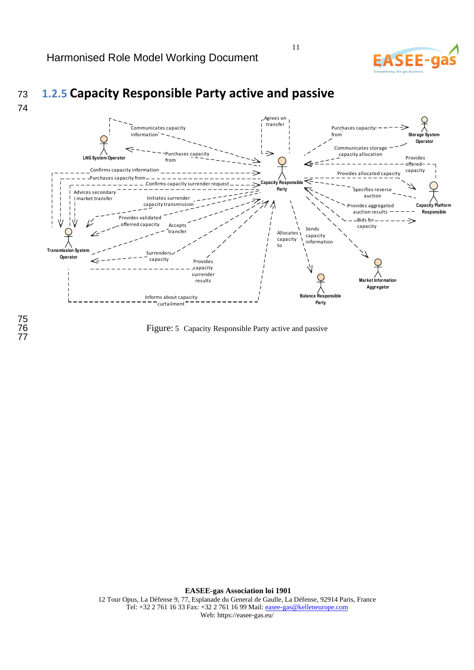### Agrees on transfer Purchases capacity Communicates capacity information from **System Operator** Communicates storage レニ Purchases capacity capacity allocation Provides **LNG System Operator** from offered Confirms capacity information capacity Provide: Purchases capacity from *Res* Confirms capacity surrender request **Party** sifies reve Advices secondary auction market transfer Initiates surrende capacity transmission **Capacity P** Provides aggregated  $\frac{36}{100}$  auction results  $-$ **Responsible** Provides validated Bids for ⇒ offerred capacity cepts<sup>t</sup> capacity Sends .<br>transfer Allocates capacity information capacity to **Transmission Syste** Surrenders **Operator** capacityProvides capacity surrender results **Market Information Aggregator Balance Responsible** Informs about capacity curtailment **Party**

11

Figure: 5 Capacity Responsible Party active and passive

74

# <sup>73</sup>**1.2.5 Capacity Responsible Party active and passive**

**EASEE-gas Association loi 1901**  12 Tour Opus, La Défense 9, 77, Esplanade du General de Gaulle, La Défense, 92914 Paris, France Tel: +32 2 761 16 33 Fax: +32 2 761 16 99 Mail: easee-gas@kelleneurope.com Web: https://easee-gas.eu/

75 77 **ASFF**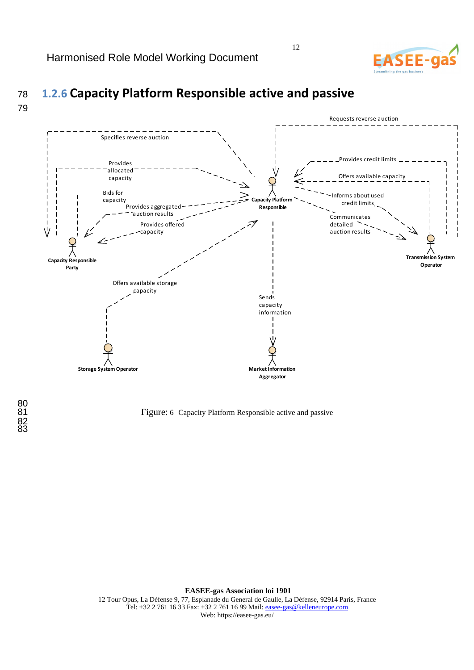



# <sup>78</sup>**1.2.6 Capacity Platform Responsible active and passive**

80<br>81 82 83

Figure: 6 Capacity Platform Responsible active and passive

**EASEE-gas Association loi 1901**  12 Tour Opus, La Défense 9, 77, Esplanade du General de Gaulle, La Défense, 92914 Paris, France Tel: +32 2 761 16 33 Fax: +32 2 761 16 99 Mail: easee-gas@kelleneurope.com Web: https://easee-gas.eu/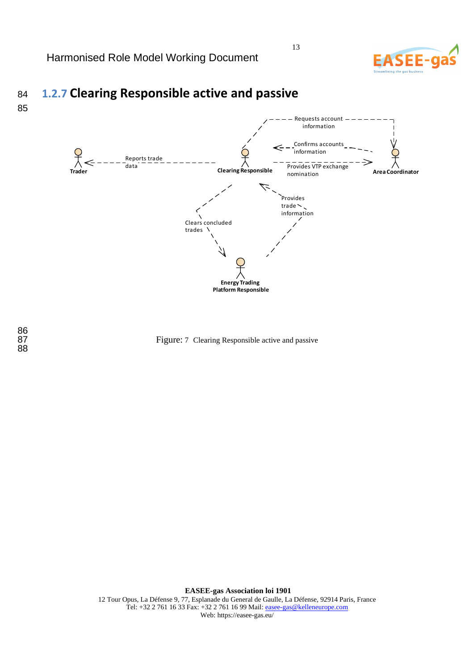

# <sup>84</sup>**1.2.7 Clearing Responsible active and passive**

85



Figure: 7 Clearing Responsible active and passive

**EASEE-gas Association loi 1901**  12 Tour Opus, La Défense 9, 77, Esplanade du General de Gaulle, La Défense, 92914 Paris, France Tel: +32 2 761 16 33 Fax: +32 2 761 16 99 Mail: easee-gas@kelleneurope.com Web: https://easee-gas.eu/

86<br>87 88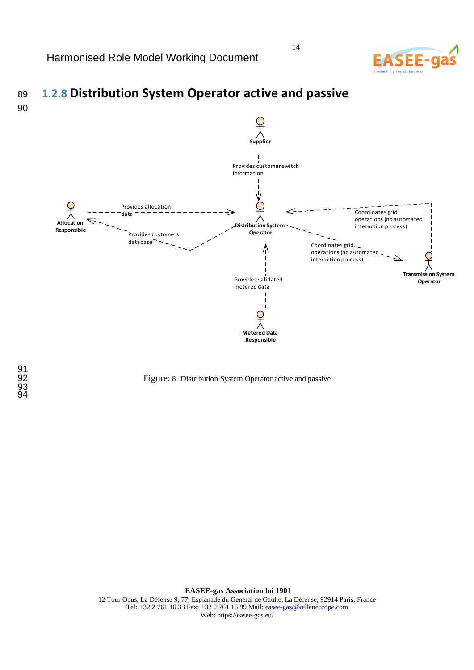

# <sup>89</sup>**1.2.8 Distribution System Operator active and passive**  90



### Figure: 8 Distribution System Operator active and passive

**EASEE-gas Association loi 1901**  12 Tour Opus, La Défense 9, 77, Esplanade du General de Gaulle, La Défense, 92914 Paris, France Tel: +32 2 761 16 33 Fax: +32 2 761 16 99 Mail: easee-gas@kelleneurope.com Web: https://easee-gas.eu/

91<br>92 93 94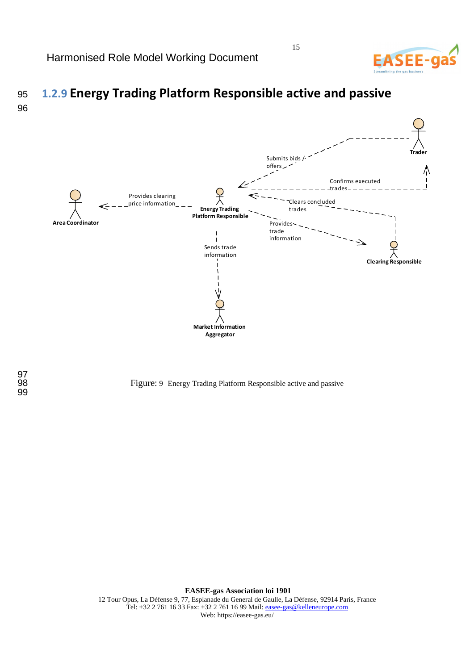

# <sup>95</sup>**1.2.9 Energy Trading Platform Responsible active and passive**  96



15

Figure: 9 Energy Trading Platform Responsible active and passive

**EASEE-gas Association loi 1901**  12 Tour Opus, La Défense 9, 77, Esplanade du General de Gaulle, La Défense, 92914 Paris, France Tel: +32 2 761 16 33 Fax: +32 2 761 16 99 Mail: easee-gas@kelleneurope.com Web: https://easee-gas.eu/

97<br>98 99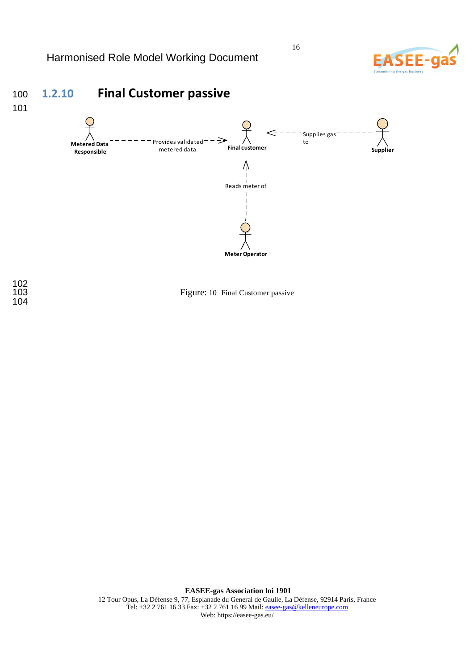

Figure: 10 Final Customer passive

**EASEE-gas Association loi 1901**  12 Tour Opus, La Défense 9, 77, Esplanade du General de Gaulle, La Défense, 92914 Paris, France Tel: +32 2 761 16 33 Fax: +32 2 761 16 99 Mail: easee-gas@kelleneurope.com Web: https://easee-gas.eu/

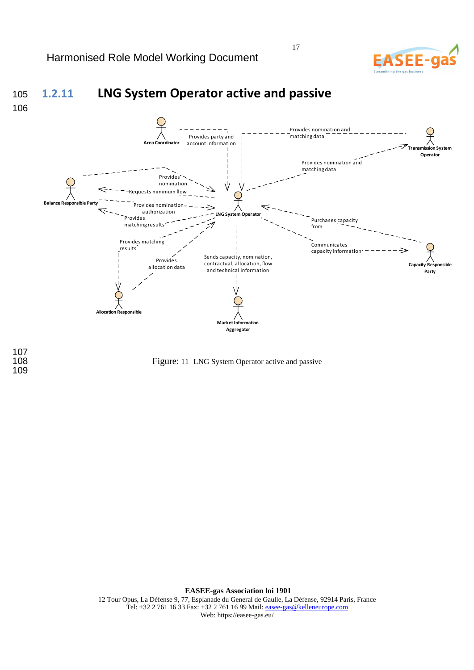

### Figure: 11 LNG System Operator active and passive

**EASEE-gas Association loi 1901**  12 Tour Opus, La Défense 9, 77, Esplanade du General de Gaulle, La Défense, 92914 Paris, France Tel: +32 2 761 16 33 Fax: +32 2 761 16 99 Mail: easee-gas@kelleneurope.com Web: https://easee-gas.eu/

17

107<br>108 109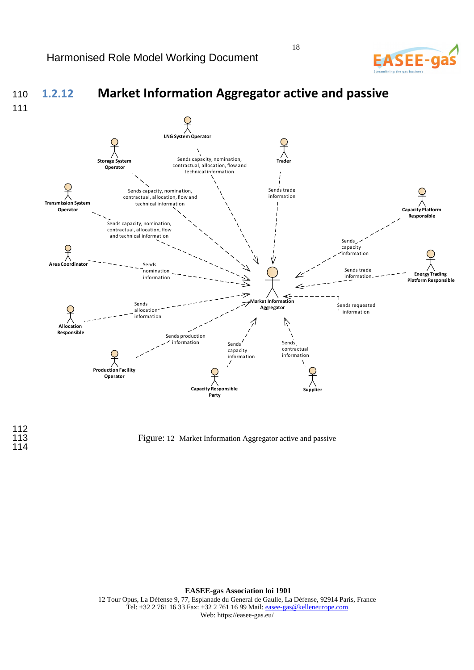### <sup>110</sup>**1.2.12 Market Information Aggregator active and passive**  111 **LNG System Operator** Ń Sends capacity, nomination, contractual, allocation, flow and **Storage System Trader Operator** technical information Ç Sends trade Sends capacity, nomination, contractual, allocation, flow and information technical information **Transmission Syster Capacity Platform Operator Responsible** Sends capacity, nomination, contractual, allocation, flow and technical information Sends **Area Coordinator** capacity information Sends Sends trade nomination **Energy Trading**  information information**Platform Responsible Market Information**  Sends Sends requested **Aggregator** allocatio information information **Allocation Responsible** Sends production information Sends Sends contractual capacity information information **Production Facility Operator Capacity Responsible Supplier Party**

112<br>113 114

Figure: 12 Market Information Aggregator active and passive

**EASEE-gas Association loi 1901**  12 Tour Opus, La Défense 9, 77, Esplanade du General de Gaulle, La Défense, 92914 Paris, France Tel: +32 2 761 16 33 Fax: +32 2 761 16 99 Mail: easee-gas@kelleneurope.com Web: https://easee-gas.eu/

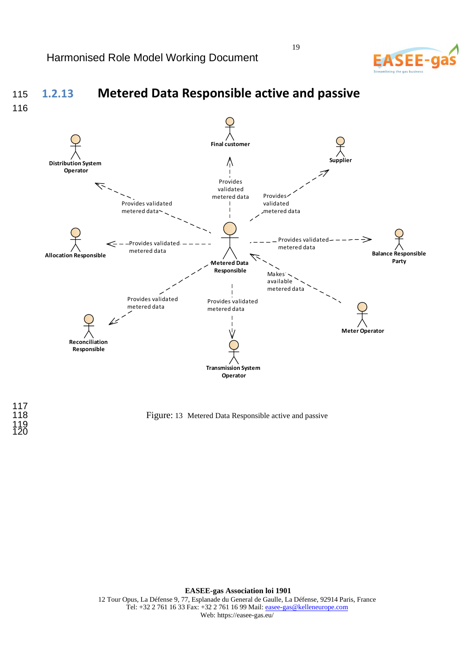### <sup>115</sup>**1.2.13 Metered Data Responsible active and passive Metered Data Responsible Allocation Responsible Balance Responsible Party Supplie Meter Operator Reconciliation Responsible Distribution System Operator Transmission System Operator Final customer** Provides validated metered data Provides validated metered data Provides validated metered data Provides validated metered data Provides validated metered data Makes available metered data Provides validated metered data Provides validated metered data

117<br>118 119 120

116

Figure: 13 Metered Data Responsible active and passive

**EASEE-gas Association loi 1901**  12 Tour Opus, La Défense 9, 77, Esplanade du General de Gaulle, La Défense, 92914 Paris, France Tel: +32 2 761 16 33 Fax: +32 2 761 16 99 Mail: easee-gas@kelleneurope.com Web: https://easee-gas.eu/

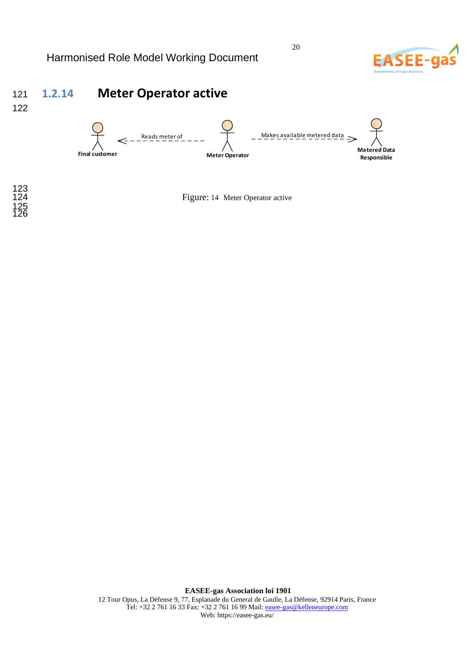

# <sup>121</sup>**1.2.14 Meter Operator active**

122



123 125 126

Figure: 14 Meter Operator active

**EASEE-gas Association loi 1901**  12 Tour Opus, La Défense 9, 77, Esplanade du General de Gaulle, La Défense, 92914 Paris, France Tel: +32 2 761 16 33 Fax: +32 2 761 16 99 Mail: easee-gas@kelleneurope.com Web: https://easee-gas.eu/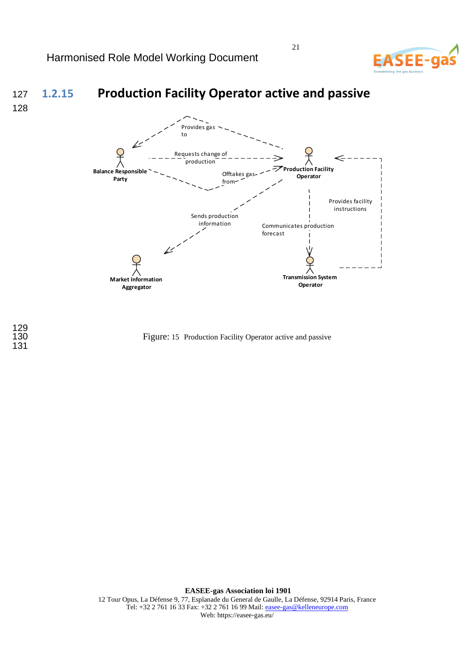

# <sup>127</sup>**1.2.15 Production Facility Operator active and passive**

128



129 131

Figure: 15 Production Facility Operator active and passive

**EASEE-gas Association loi 1901**  12 Tour Opus, La Défense 9, 77, Esplanade du General de Gaulle, La Défense, 92914 Paris, France Tel: +32 2 761 16 33 Fax: +32 2 761 16 99 Mail: easee-gas@kelleneurope.com Web: https://easee-gas.eu/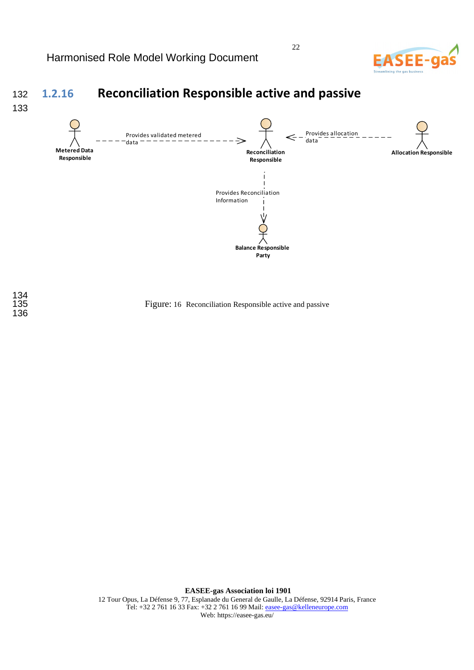134<br>135

136



# <sup>132</sup>**1.2.16 Reconciliation Responsible active and passive**



22

Figure: 16 Reconciliation Responsible active and passive

**EASEE-gas Association loi 1901**  12 Tour Opus, La Défense 9, 77, Esplanade du General de Gaulle, La Défense, 92914 Paris, France Tel: +32 2 761 16 33 Fax: +32 2 761 16 99 Mail: easee-gas@kelleneurope.com Web: https://easee-gas.eu/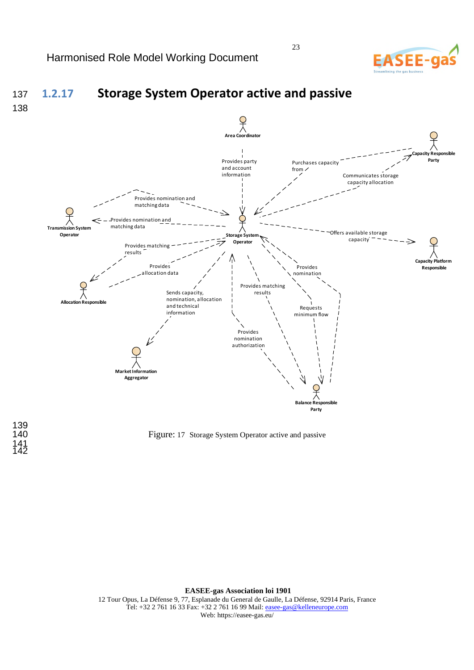# **EASEE-**



139 141 142

Figure: 17 Storage System Operator active and passive

**EASEE-gas Association loi 1901**  12 Tour Opus, La Défense 9, 77, Esplanade du General de Gaulle, La Défense, 92914 Paris, France Tel: +32 2 761 16 33 Fax: +32 2 761 16 99 Mail: easee-gas@kelleneurope.com Web: https://easee-gas.eu/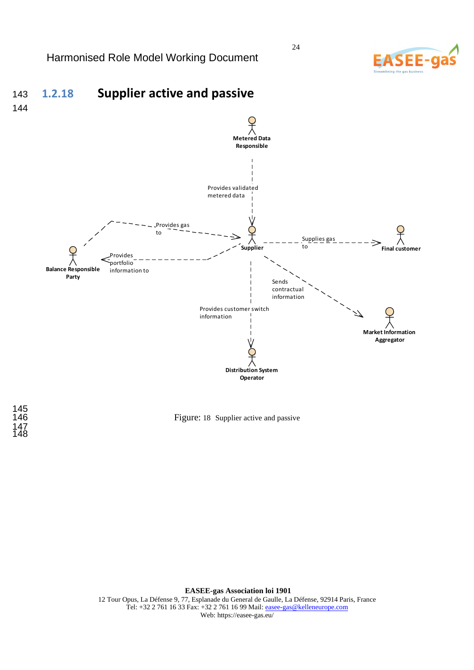

# <sup>143</sup>**1.2.18 Supplier active and passive**



145<br>146 147 148

Figure: 18 Supplier active and passive

**EASEE-gas Association loi 1901**  12 Tour Opus, La Défense 9, 77, Esplanade du General de Gaulle, La Défense, 92914 Paris, France Tel: +32 2 761 16 33 Fax: +32 2 761 16 99 Mail: easee-gas@kelleneurope.com Web: https://easee-gas.eu/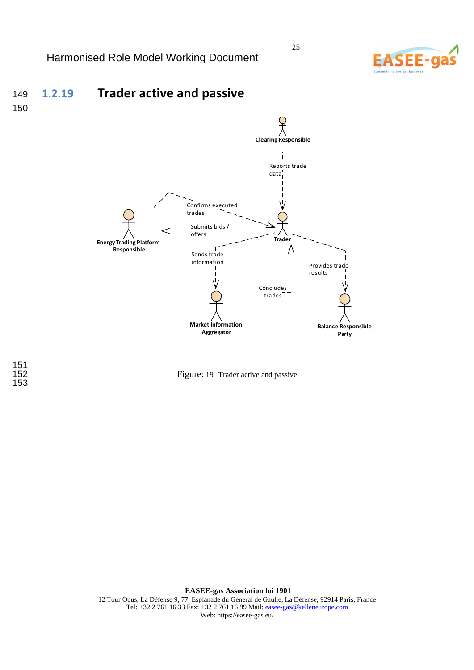

# <sup>149</sup>**1.2.19 Trader active and passive**





151 153



**EASEE-gas Association loi 1901**  12 Tour Opus, La Défense 9, 77, Esplanade du General de Gaulle, La Défense, 92914 Paris, France Tel: +32 2 761 16 33 Fax: +32 2 761 16 99 Mail: easee-gas@kelleneurope.com Web: https://easee-gas.eu/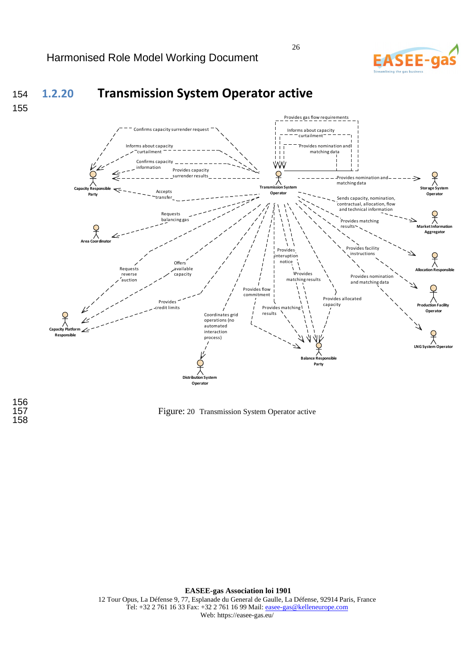

Q

Ç

 $\frac{1}{\lambda}$ 

# <sup>154</sup>**1.2.20 Transmission System Operator active**



### Provides gas flow requirements Informs about capacity nfirms capacity surrender reques curtailment<sup>-</sup> Provides nomination and Informs about capacity curtailment matching data  $\Box$ Confirms capacity W٨ information Provides capacity **Transmission S** surrender results Provides nomination and matching data **System Capacity Responsible**  Accepts **Operato Operator Party** transfer Sends capacity, nomination, contractual, allocation, flow and technical information Requests balancing Provides matching results **Market Information Aggregato Area Coordinator** Provides facilit Provides instruction interuption notice  $Offer$ À Requests available **Allocation Responsible** reverse capacity **I**Provides Provides nominati matching results auction and matching dataProvides flow commitment Provides allocated Provides capacity credit limits Provides matching **Production Facility Operator** Coordinates grid results operations (no automated **Capacity Platform**  interaction process) **Responsible LNG System Operator Balance Responsible**

156 158

Figure: 20 Transmission System Operator active

**Distribution System Operato** 

**EASEE-gas Association loi 1901**  12 Tour Opus, La Défense 9, 77, Esplanade du General de Gaulle, La Défense, 92914 Paris, France Tel: +32 2 761 16 33 Fax: +32 2 761 16 99 Mail: easee-gas@kelleneurope.com Web: https://easee-gas.eu/

26

**Party**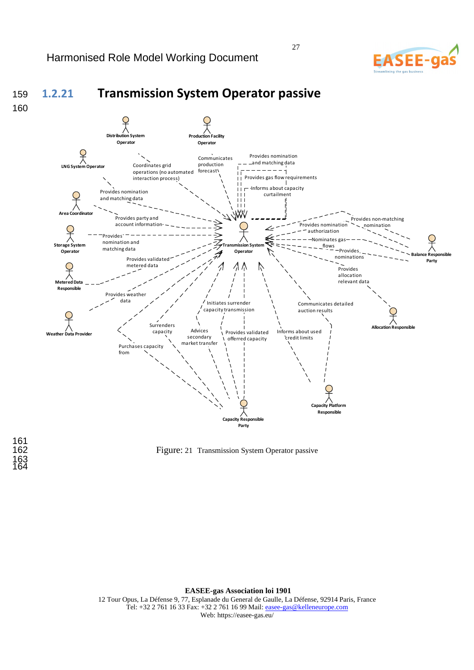### <sup>159</sup>**1.2.21 Transmission System Operator passive**  160 **Distribution System Production Facility Operato Operato LNG System Operator** Provides nomination Communicates and matching data production Coordinates grid operations (no automated forecast  $-1$ interaction process) Provides gas flow requirements Informs about capacity Provides nomination curtailmentand matching data **Area Coordinator** Provides party and Provides non-matching account information Provides nomination nomination authorization Provides -Nominates ga nomination and **Transmission System**  age Sys flows matching data Provides **Operator Operator Balance Responsible**<br> **Balance Responsible** nominations Provides valida **Party** metered data  $\Lambda \Lambda$ Provides allocation relevant data **Metered Data Responsible** Provides weath data Initiates surrender Communicates detailed capacity transmission auction results Surrenders **Allocation Res** Advices capacity Provides validated Informs about used **Weather Data Provider** secondary credit limits offerred capacity market transfer Purchase from **Capacity Platform Responsible Resp Party**

Figure: 21 Transmission System Operator passive

**EASEE-gas Association loi 1901**  12 Tour Opus, La Défense 9, 77, Esplanade du General de Gaulle, La Défense, 92914 Paris, France Tel: +32 2 761 16 33 Fax: +32 2 761 16 99 Mail: easee-gas@kelleneurope.com

Web: https://easee-gas.eu/



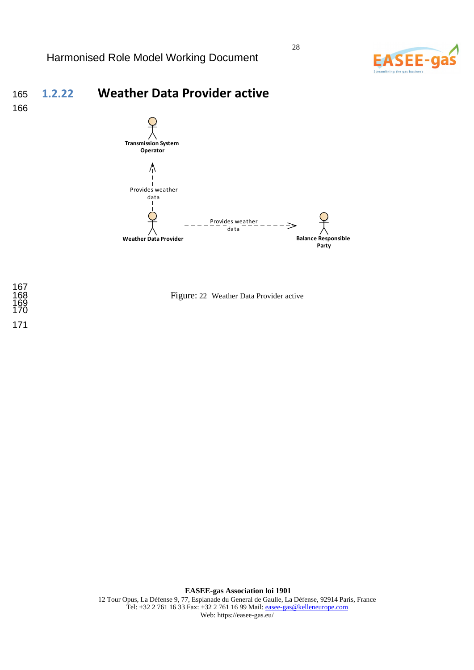

# <sup>165</sup>**1.2.22 Weather Data Provider active**







Figure: 22 Weather Data Provider active

**EASEE-gas Association loi 1901**  12 Tour Opus, La Défense 9, 77, Esplanade du General de Gaulle, La Défense, 92914 Paris, France Tel: +32 2 761 16 33 Fax: +32 2 761 16 99 Mail: easee-gas@kelleneurope.com Web: https://easee-gas.eu/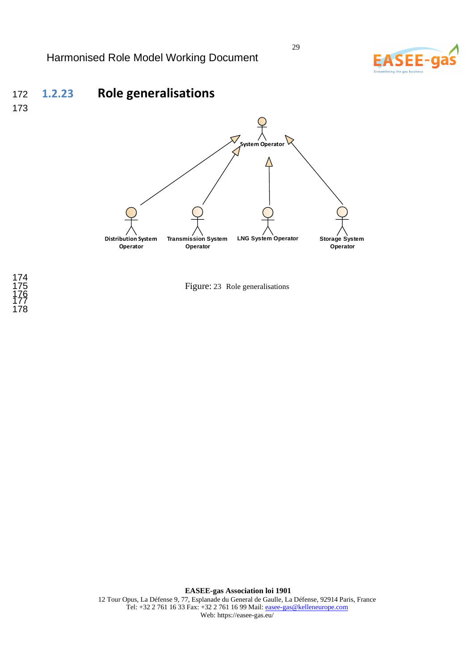



173





Figure: 23 Role generalisations

**EASEE-gas Association loi 1901**  12 Tour Opus, La Défense 9, 77, Esplanade du General de Gaulle, La Défense, 92914 Paris, France Tel: +32 2 761 16 33 Fax: +32 2 761 16 99 Mail: easee-gas@kelleneurope.com Web: https://easee-gas.eu/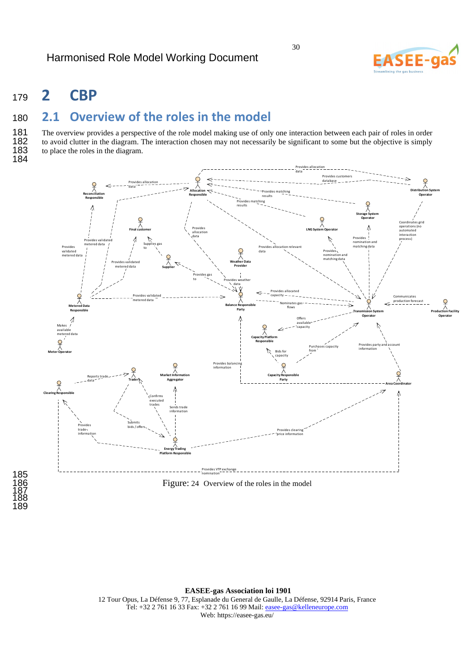

# <sup>179</sup>**2 CBP**

# <sup>180</sup>**2.1 Overview of the roles in the model**

181 The overview provides a perspective of the role model making use of only one interaction between each pair of roles in order<br>182 to avoid clutter in the diagram. The interaction chosen may not necessarily be significan 182 to avoid clutter in the diagram. The interaction chosen may not necessarily be significant to some but the objective is simply to place the roles in the diagram. to place the roles in the diagram.

184

185

187 188 189



Figure: 24 Overview of the roles in the model

**EASEE-gas Association loi 1901**  12 Tour Opus, La Défense 9, 77, Esplanade du General de Gaulle, La Défense, 92914 Paris, France

Tel: +32 2 761 16 33 Fax: +32 2 761 16 99 Mail: easee-gas@kelleneurope.com Web: https://easee-gas.eu/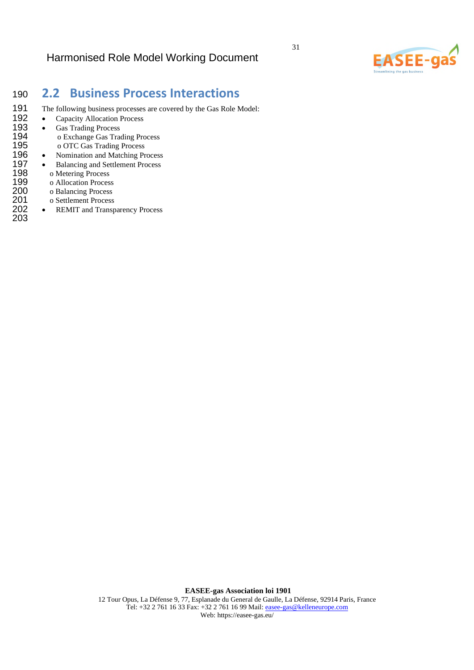

## <sup>190</sup>**2.2 Business Process Interactions**

- 191 The following business processes are covered by the Gas Role Model:<br>192 Capacity Allocation Process
	- Capacity Allocation Process
- 193 Gas Trading Process 194 o Exchange Gas Trading Process<br>195 o OTC Gas Trading Process 195 o OTC Gas Trading Process<br>196 • Nomination and Matching Pr
- 196 Nomination and Matching Process<br>197 Balancing and Settlement Process
- 197 Balancing and Settlement Process
- 198 o Metering Process<br>199 o Allocation Proces
	-
- 199 o Allocation Process<br>200 o Balancing Process 200 o Balancing Process<br>201 o Settlement Process
- 201 o Settlement Process<br>202 REMIT and Transp
- REMIT and Transparency Process 203

**EASEE-gas Association loi 1901**  12 Tour Opus, La Défense 9, 77, Esplanade du General de Gaulle, La Défense, 92914 Paris, France Tel: +32 2 761 16 33 Fax: +32 2 761 16 99 Mail: easee-gas@kelleneurope.com Web: https://easee-gas.eu/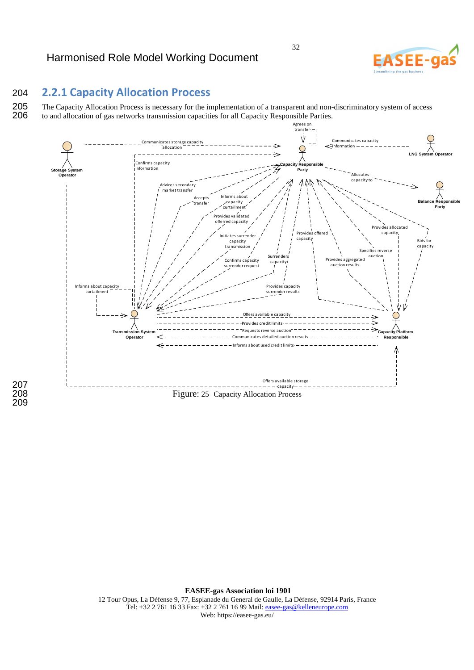# **ASFF-**

### 204 **2.2.1 Capacity Allocation Process**

207

209

205 The Capacity Allocation Process is necessary for the implementation of a transparent and non-discriminatory system of access to and allocation of gas networks transmission capacities for all Capacity Responsible Partie to and allocation of gas networks transmission capacities for all Capacity Responsible Parties.



**EASEE-gas Association loi 1901**  12 Tour Opus, La Défense 9, 77, Esplanade du General de Gaulle, La Défense, 92914 Paris, France Tel: +32 2 761 16 33 Fax: +32 2 761 16 99 Mail: easee-gas@kelleneurope.com Web: https://easee-gas.eu/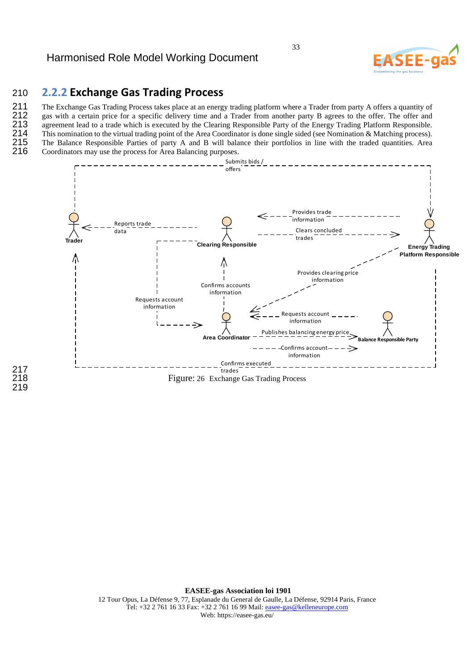### 210 **2.2.2 Exchange Gas Trading Process**

217<br>218

219

211 The Exchange Gas Trading Process takes place at an energy trading platform where a Trader from party A offers a quantity of gas with a certain price for a specific delivery time and a Trader from another party B agrees

212 gas with a certain price for a specific delivery time and a Trader from another party B agrees to the offer. The offer and 213 agreement lead to a trade which is executed by the Clearing Responsible Party of the Energy

213 agreement lead to a trade which is executed by the Clearing Responsible Party of the Energy Trading Platform Responsible.<br>214 This nomination to the virtual trading point of the Area Coordinator is done single sided (s 214 This nomination to the virtual trading point of the Area Coordinator is done single sided (see Nomination & Matching process).<br>215 The Balance Responsible Parties of party A and B will balance their portfolios in line 215 The Balance Responsible Parties of party A and B will balance their portfolios in line with the traded quantities. Area 216 Coordinators may use the process for Area Balancing purposes. Coordinators may use the process for Area Balancing purposes.



**EASEE-gas Association loi 1901**  12 Tour Opus, La Défense 9, 77, Esplanade du General de Gaulle, La Défense, 92914 Paris, France Tel: +32 2 761 16 33 Fax: +32 2 761 16 99 Mail: easee-gas@kelleneurope.com Web: https://easee-gas.eu/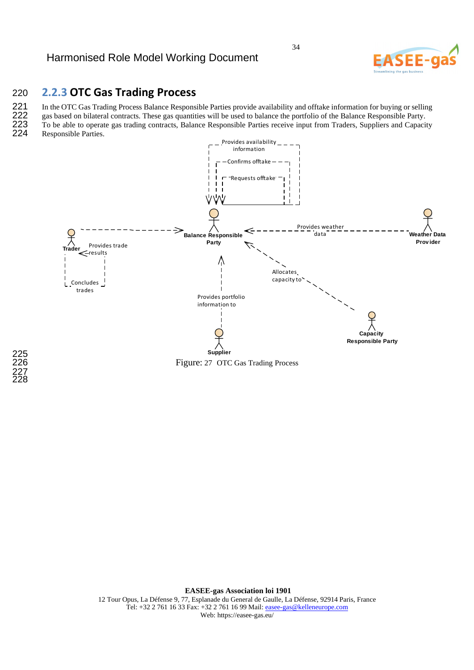

### 220 **2.2.3 OTC Gas Trading Process**

221 In the OTC Gas Trading Process Balance Responsible Parties provide availability and offtake information for buying or selling<br>222 gas based on bilateral contracts. These gas quantities will be used to balance the portf

222 gas based on bilateral contracts. These gas quantities will be used to balance the portfolio of the Balance Responsible Party.<br>223 To be able to operate gas trading contracts, Balance Responsible Parties receive input 223 To be able to operate gas trading contracts, Balance Responsible Parties receive input from Traders, Suppliers and Capacity 224 Responsible Parties. Responsible Parties.



**EASEE-gas Association loi 1901**  12 Tour Opus, La Défense 9, 77, Esplanade du General de Gaulle, La Défense, 92914 Paris, France Tel: +32 2 761 16 33 Fax: +32 2 761 16 99 Mail: easee-gas@kelleneurope.com Web: https://easee-gas.eu/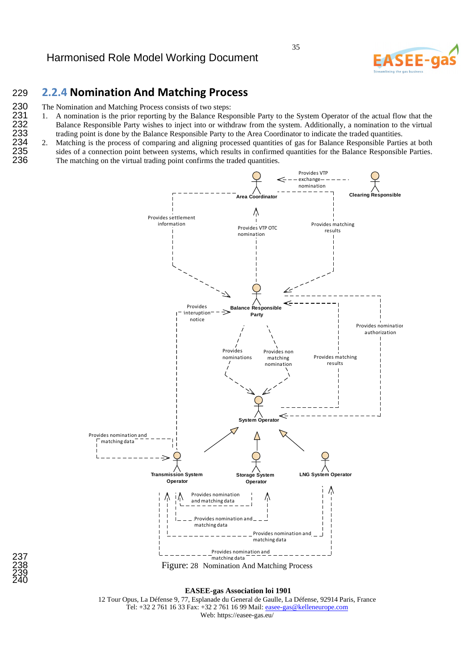

### 229 **2.2.4 Nomination And Matching Process**

- 230 The Nomination and Matching Process consists of two steps:<br>231 1. A nomination is the prior reporting by the Balance Resp
- 231 1. A nomination is the prior reporting by the Balance Responsible Party to the System Operator of the actual flow that the 232 Balance Responsible Party wishes to inject into or withdraw from the system. Additionally, 232 Balance Responsible Party wishes to inject into or withdraw from the system. Additionally, a nomination to the virtual trading point is done by the Balance Responsible Party to the Area Coordinator to indicate the trad 233 trading point is done by the Balance Responsible Party to the Area Coordinator to indicate the traded quantities.<br>234 2. Matching is the process of comparing and aligning processed quantities of gas for Balance Respons
- 234 2. Matching is the process of comparing and aligning processed quantities of gas for Balance Responsible Parties at both sides of a connection point between systems, which results in confirmed quantities for the Balanc 235 sides of a connection point between systems, which results in confirmed quantities for the Balance Responsible Parties.<br>236 The matching on the virtual trading point confirms the traded quantities. The matching on the virtual trading point confirms the traded quantities.





**EASEE-gas Association loi 1901** 

12 Tour Opus, La Défense 9, 77, Esplanade du General de Gaulle, La Défense, 92914 Paris, France Tel: +32 2 761 16 33 Fax: +32 2 761 16 99 Mail: easee-gas@kelleneurope.com Web: https://easee-gas.eu/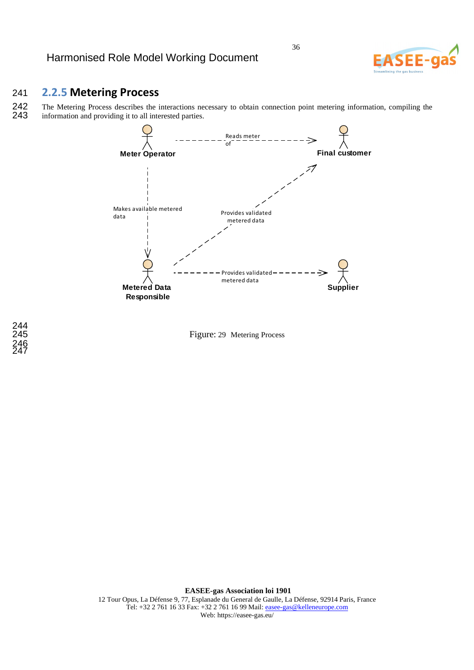

### 241 **2.2.5 Metering Process**

242 The Metering Process describes the interactions necessary to obtain connection point metering information, compiling the information and providing it to all interested parties. information and providing it to all interested parties.





244<br>245 246 247

> **EASEE-gas Association loi 1901**  12 Tour Opus, La Défense 9, 77, Esplanade du General de Gaulle, La Défense, 92914 Paris, France Tel: +32 2 761 16 33 Fax: +32 2 761 16 99 Mail: easee-gas@kelleneurope.com Web: https://easee-gas.eu/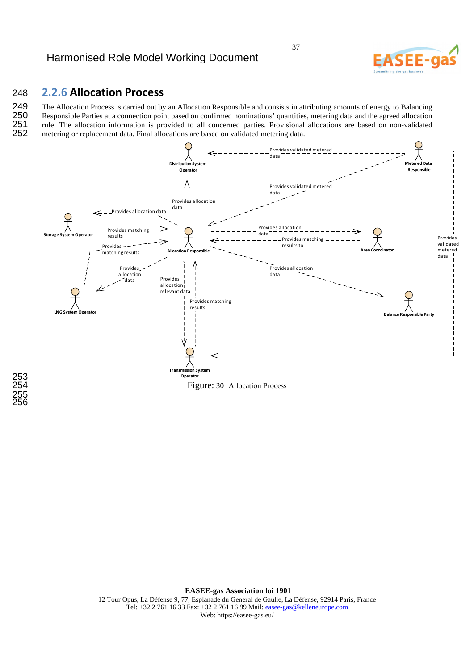

### 248 **2.2.6 Allocation Process**

249 The Allocation Process is carried out by an Allocation Responsible and consists in attributing amounts of energy to Balancing<br>250 Responsible Parties at a connection point based on confirmed nominations' quantities, me 250 Responsible Parties at a connection point based on confirmed nominations' quantities, metering data and the agreed allocation<br>251 rule. The allocation information is provided to all concerned parties. Provisional alloc 251 rule. The allocation information is provided to all concerned parties. Provisional allocations are based on non-validated 252 metering or replacement data. Final allocations are based on validated metering data. 252 metering or replacement data. Final allocations are based on validated metering data.



253 255 256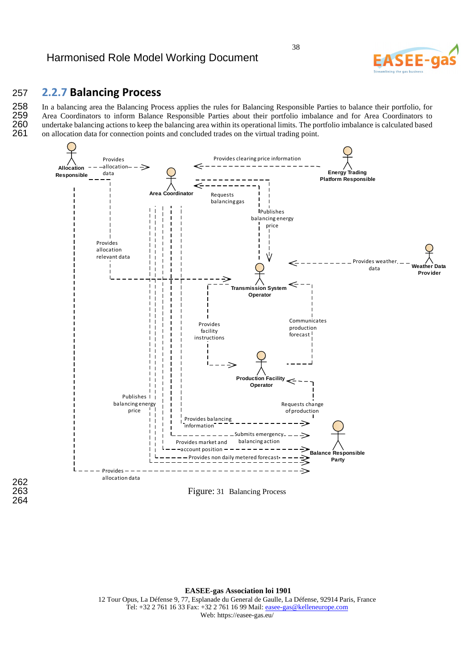### 257 **2.2.7 Balancing Process**

258 In a balancing area the Balancing Process applies the rules for Balancing Responsible Parties to balance their portfolio, for<br>259 Area Coordinators to inform Balance Responsible Parties about their portfolio imbalance 259 Area Coordinators to inform Balance Responsible Parties about their portfolio imbalance and for Area Coordinators to 260 undertake balancing actions to keep the balancing area within its operational limits. The portfol 260 undertake balancing actions to keep the balancing area within its operational limits. The portfolio imbalance is calculated based on allocation data for connection points and concluded trades on the virtual trading poi 261 on allocation data for connection points and concluded trades on the virtual trading point.



262<br>263 264

**EASEE-gas Association loi 1901** 

12 Tour Opus, La Défense 9, 77, Esplanade du General de Gaulle, La Défense, 92914 Paris, France Tel: +32 2 761 16 33 Fax: +32 2 761 16 99 Mail: easee-gas@kelleneurope.com Web: https://easee-gas.eu/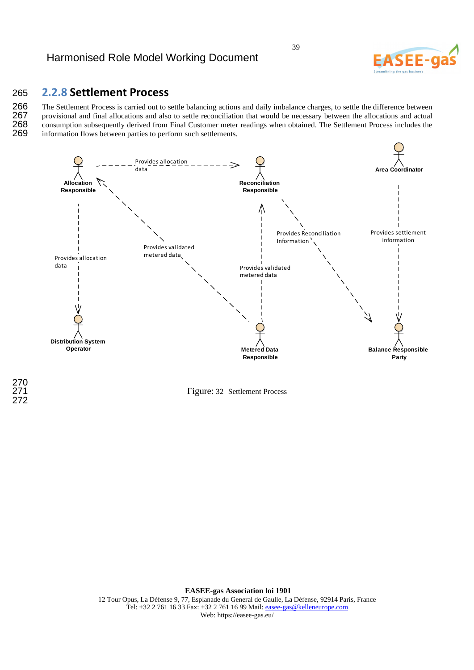### 265 **2.2.8 Settlement Process**

266 The Settlement Process is carried out to settle balancing actions and daily imbalance charges, to settle the difference between<br>267 provisional and final allocations and also to settle reconciliation that would be nece 267 provisional and final allocations and also to settle reconciliation that would be necessary between the allocations and actual 268 consumption subsequently derived from Final Customer meter readings when obtained. The 268 consumption subsequently derived from Final Customer meter readings when obtained. The Settlement Process includes the 269 information flows between parties to perform such settlements. information flows between parties to perform such settlements.



270

272

Figure: 32 Settlement Process

**EASEE-gas Association loi 1901**  12 Tour Opus, La Défense 9, 77, Esplanade du General de Gaulle, La Défense, 92914 Paris, France Tel: +32 2 761 16 33 Fax: +32 2 761 16 99 Mail: easee-gas@kelleneurope.com Web: https://easee-gas.eu/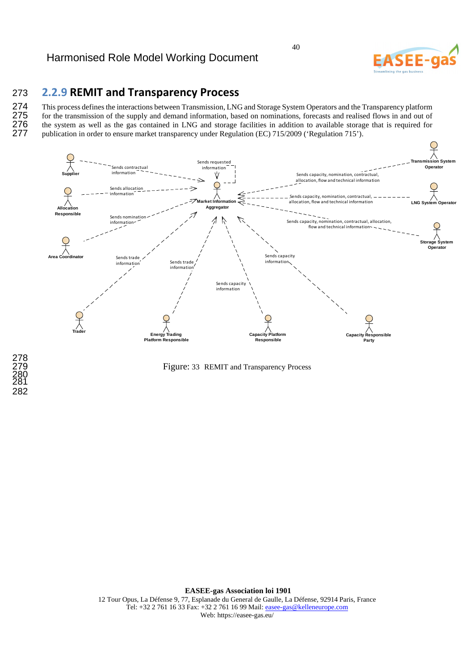### 273 **2.2.9 REMIT and Transparency Process**

274 This process defines the interactions between Transmission, LNG and Storage System Operators and the Transparency platform<br>275 for the transmission of the supply and demand information, based on nominations, forecasts 275 for the transmission of the supply and demand information, based on nominations, forecasts and realised flows in and out of 276 the system as well as the gas contained in LNG and storage facilities in addition to avail 276 the system as well as the gas contained in LNG and storage facilities in addition to available storage that is required for publication in order to ensure market transparency under Regulation (EC) 715/2009 ('Regulation publication in order to ensure market transparency under Regulation (EC) 715/2009 ('Regulation 715').



Figure: 33 REMIT and Transparency Process

**EASEE-gas Association loi 1901**  12 Tour Opus, La Défense 9, 77, Esplanade du General de Gaulle, La Défense, 92914 Paris, France Tel: +32 2 761 16 33 Fax: +32 2 761 16 99 Mail: easee-gas@kelleneurope.com Web: https://easee-gas.eu/

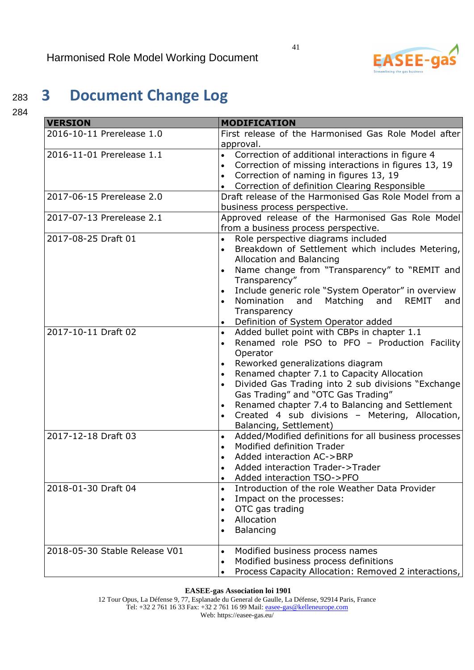

# <sup>283</sup>**3 Document Change Log**

284

| <b>VERSION</b>                | <b>MODIFICATION</b>                                                |  |
|-------------------------------|--------------------------------------------------------------------|--|
| 2016-10-11 Prerelease 1.0     | First release of the Harmonised Gas Role Model after               |  |
|                               | approval.                                                          |  |
| 2016-11-01 Prerelease 1.1     | Correction of additional interactions in figure 4<br>$\bullet$     |  |
|                               | Correction of missing interactions in figures 13, 19<br>$\bullet$  |  |
|                               | Correction of naming in figures 13, 19                             |  |
|                               | Correction of definition Clearing Responsible                      |  |
| 2017-06-15 Prerelease 2.0     | Draft release of the Harmonised Gas Role Model from a              |  |
|                               | business process perspective.                                      |  |
| 2017-07-13 Prerelease 2.1     | Approved release of the Harmonised Gas Role Model                  |  |
|                               | from a business process perspective.                               |  |
| 2017-08-25 Draft 01           | Role perspective diagrams included<br>$\bullet$                    |  |
|                               | Breakdown of Settlement which includes Metering,                   |  |
|                               | Allocation and Balancing                                           |  |
|                               | Name change from "Transparency" to "REMIT and<br>$\bullet$         |  |
|                               | Transparency"                                                      |  |
|                               | Include generic role "System Operator" in overview                 |  |
|                               | Nomination and Matching and<br><b>REMIT</b><br>and                 |  |
|                               | Transparency                                                       |  |
|                               | Definition of System Operator added<br>$\bullet$                   |  |
| 2017-10-11 Draft 02           | Added bullet point with CBPs in chapter 1.1<br>$\bullet$           |  |
|                               | Renamed role PSO to PFO - Production Facility                      |  |
|                               | Operator                                                           |  |
|                               | Reworked generalizations diagram                                   |  |
|                               | Renamed chapter 7.1 to Capacity Allocation<br>$\bullet$            |  |
|                               | Divided Gas Trading into 2 sub divisions "Exchange<br>$\bullet$    |  |
|                               | Gas Trading" and "OTC Gas Trading"                                 |  |
|                               | Renamed chapter 7.4 to Balancing and Settlement                    |  |
|                               | Created 4 sub divisions - Metering, Allocation,                    |  |
|                               | Balancing, Settlement)                                             |  |
| 2017-12-18 Draft 03           | Added/Modified definitions for all business processes<br>$\bullet$ |  |
|                               | Modified definition Trader<br>$\bullet$                            |  |
|                               | Added interaction AC->BRP                                          |  |
|                               | Added interaction Trader->Trader                                   |  |
|                               | Added interaction TSO->PFO                                         |  |
| 2018-01-30 Draft 04           | Introduction of the role Weather Data Provider<br>$\bullet$        |  |
|                               | Impact on the processes:<br>$\bullet$                              |  |
|                               | OTC gas trading                                                    |  |
|                               | Allocation                                                         |  |
|                               | Balancing                                                          |  |
| 2018-05-30 Stable Release V01 | Modified business process names<br>$\bullet$                       |  |
|                               | Modified business process definitions<br>$\bullet$                 |  |
|                               | Process Capacity Allocation: Removed 2 interactions,               |  |

**EASEE-gas Association loi 1901** 

12 Tour Opus, La Défense 9, 77, Esplanade du General de Gaulle, La Défense, 92914 Paris, France Tel: +32 2 761 16 33 Fax: +32 2 761 16 99 Mail: easee-gas@kelleneurope.com Web: https://easee-gas.eu/